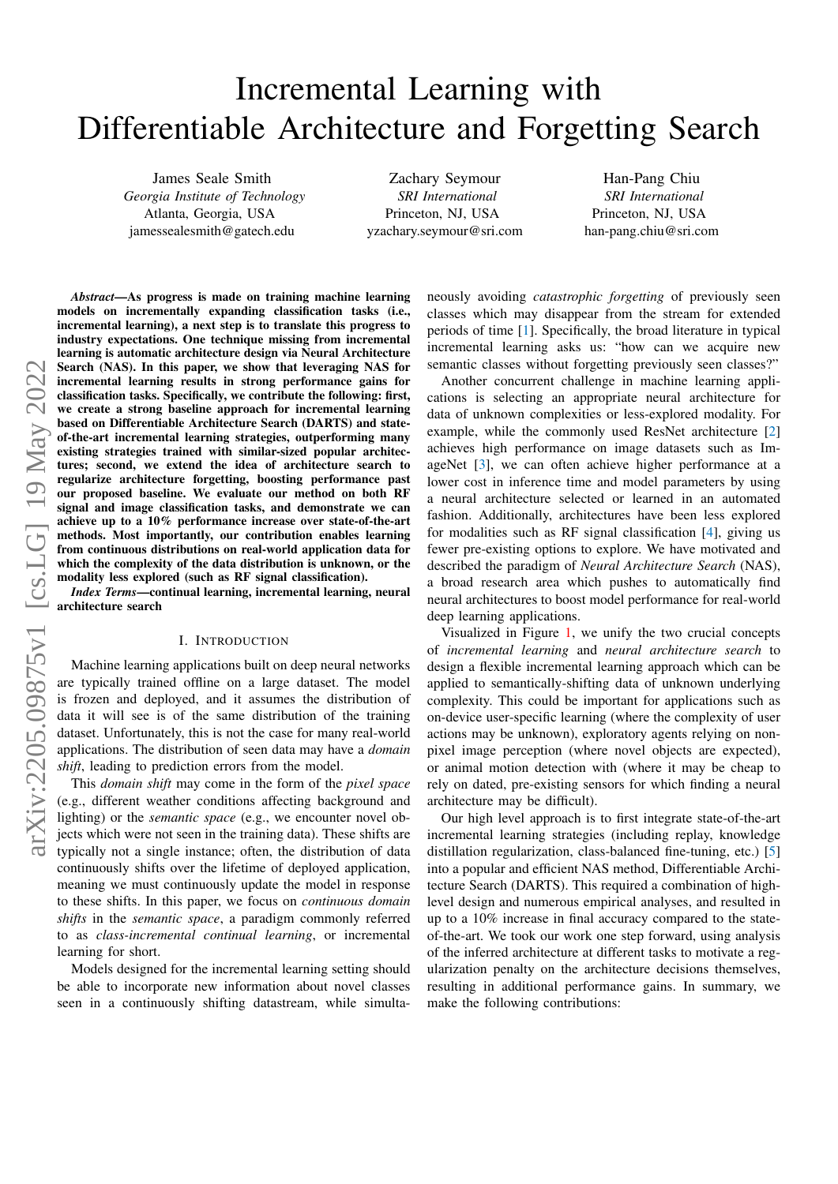# Incremental Learning with Differentiable Architecture and Forgetting Search

James Seale Smith *Georgia Institute of Technology* Atlanta, Georgia, USA jamessealesmith@gatech.edu

Zachary Seymour *SRI International* Princeton, NJ, USA yzachary.seymour@sri.com

Han-Pang Chiu *SRI International* Princeton, NJ, USA han-pang.chiu@sri.com

*Abstract*—As progress is made on training machine learning models on incrementally expanding classification tasks (i.e., incremental learning), a next step is to translate this progress to industry expectations. One technique missing from incremental learning is automatic architecture design via Neural Architecture Search (NAS). In this paper, we show that leveraging NAS for incremental learning results in strong performance gains for classification tasks. Specifically, we contribute the following: first, we create a strong baseline approach for incremental learning based on Differentiable Architecture Search (DARTS) and stateof-the-art incremental learning strategies, outperforming many existing strategies trained with similar-sized popular architectures; second, we extend the idea of architecture search to regularize architecture forgetting, boosting performance past our proposed baseline. We evaluate our method on both RF signal and image classification tasks, and demonstrate we can achieve up to a 10% performance increase over state-of-the-art methods. Most importantly, our contribution enables learning from continuous distributions on real-world application data for which the complexity of the data distribution is unknown, or the modality less explored (such as RF signal classification).

*Index Terms*—continual learning, incremental learning, neural architecture search

## I. INTRODUCTION

Machine learning applications built on deep neural networks are typically trained offline on a large dataset. The model is frozen and deployed, and it assumes the distribution of data it will see is of the same distribution of the training dataset. Unfortunately, this is not the case for many real-world applications. The distribution of seen data may have a *domain shift*, leading to prediction errors from the model.

This *domain shift* may come in the form of the *pixel space* (e.g., different weather conditions affecting background and lighting) or the *semantic space* (e.g., we encounter novel objects which were not seen in the training data). These shifts are typically not a single instance; often, the distribution of data continuously shifts over the lifetime of deployed application, meaning we must continuously update the model in response to these shifts. In this paper, we focus on *continuous domain shifts* in the *semantic space*, a paradigm commonly referred to as *class-incremental continual learning*, or incremental learning for short.

Models designed for the incremental learning setting should be able to incorporate new information about novel classes seen in a continuously shifting datastream, while simultaneously avoiding *catastrophic forgetting* of previously seen classes which may disappear from the stream for extended periods of time [\[1\]](#page-6-0). Specifically, the broad literature in typical incremental learning asks us: "how can we acquire new semantic classes without forgetting previously seen classes?"

Another concurrent challenge in machine learning applications is selecting an appropriate neural architecture for data of unknown complexities or less-explored modality. For example, while the commonly used ResNet architecture [\[2\]](#page-6-1) achieves high performance on image datasets such as ImageNet [\[3\]](#page-6-2), we can often achieve higher performance at a lower cost in inference time and model parameters by using a neural architecture selected or learned in an automated fashion. Additionally, architectures have been less explored for modalities such as RF signal classification [\[4\]](#page-6-3), giving us fewer pre-existing options to explore. We have motivated and described the paradigm of *Neural Architecture Search* (NAS), a broad research area which pushes to automatically find neural architectures to boost model performance for real-world deep learning applications.

Visualized in Figure [1,](#page-1-0) we unify the two crucial concepts of *incremental learning* and *neural architecture search* to design a flexible incremental learning approach which can be applied to semantically-shifting data of unknown underlying complexity. This could be important for applications such as on-device user-specific learning (where the complexity of user actions may be unknown), exploratory agents relying on nonpixel image perception (where novel objects are expected), or animal motion detection with (where it may be cheap to rely on dated, pre-existing sensors for which finding a neural architecture may be difficult).

Our high level approach is to first integrate state-of-the-art incremental learning strategies (including replay, knowledge distillation regularization, class-balanced fine-tuning, etc.) [\[5\]](#page-6-4) into a popular and efficient NAS method, Differentiable Architecture Search (DARTS). This required a combination of highlevel design and numerous empirical analyses, and resulted in up to a 10% increase in final accuracy compared to the stateof-the-art. We took our work one step forward, using analysis of the inferred architecture at different tasks to motivate a regularization penalty on the architecture decisions themselves, resulting in additional performance gains. In summary, we make the following contributions: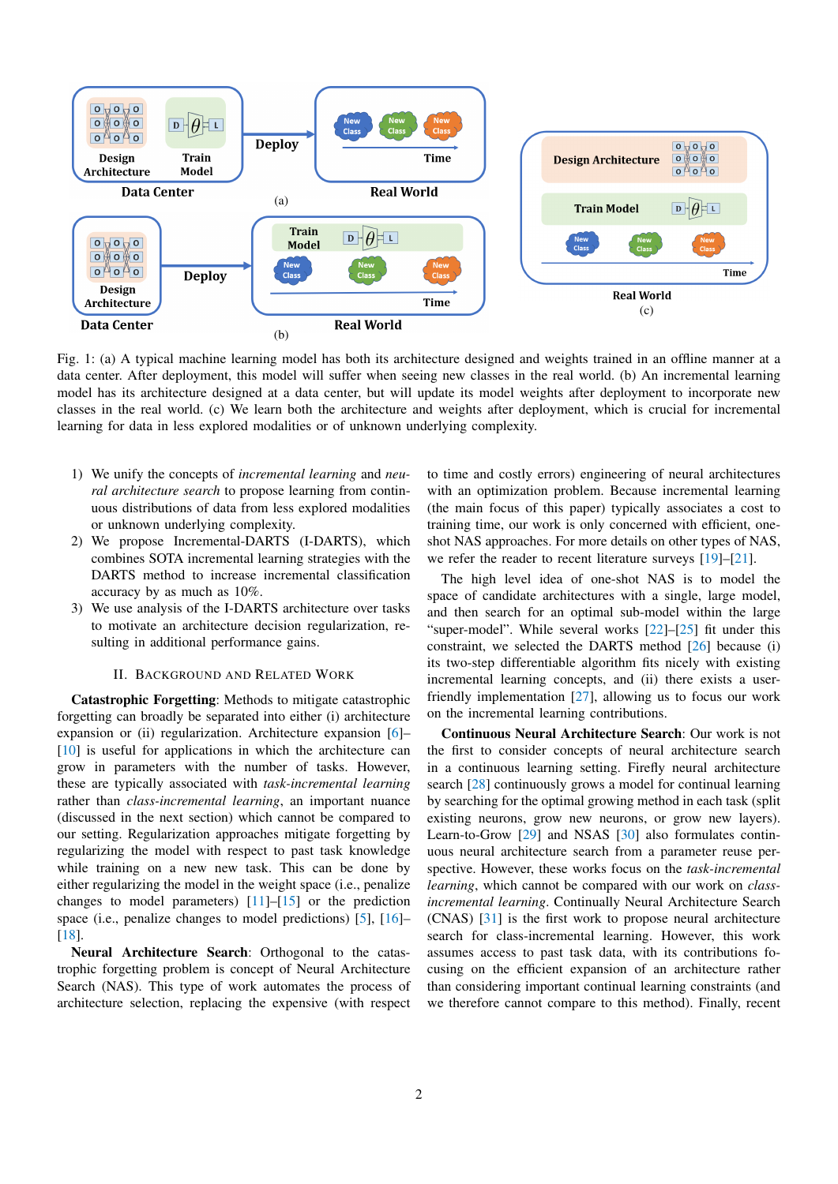<span id="page-1-0"></span>

Fig. 1: (a) A typical machine learning model has both its architecture designed and weights trained in an offline manner at a data center. After deployment, this model will suffer when seeing new classes in the real world. (b) An incremental learning model has its architecture designed at a data center, but will update its model weights after deployment to incorporate new classes in the real world. (c) We learn both the architecture and weights after deployment, which is crucial for incremental learning for data in less explored modalities or of unknown underlying complexity.

- 1) We unify the concepts of *incremental learning* and *neural architecture search* to propose learning from continuous distributions of data from less explored modalities or unknown underlying complexity.
- 2) We propose Incremental-DARTS (I-DARTS), which combines SOTA incremental learning strategies with the DARTS method to increase incremental classification accuracy by as much as 10%.
- 3) We use analysis of the I-DARTS architecture over tasks to motivate an architecture decision regularization, resulting in additional performance gains.

## II. BACKGROUND AND RELATED WORK

Catastrophic Forgetting: Methods to mitigate catastrophic forgetting can broadly be separated into either (i) architecture expansion or (ii) regularization. Architecture expansion [\[6\]](#page-6-5)– [\[10\]](#page-7-0) is useful for applications in which the architecture can grow in parameters with the number of tasks. However, these are typically associated with *task-incremental learning* rather than *class-incremental learning*, an important nuance (discussed in the next section) which cannot be compared to our setting. Regularization approaches mitigate forgetting by regularizing the model with respect to past task knowledge while training on a new new task. This can be done by either regularizing the model in the weight space (i.e., penalize changes to model parameters) [\[11\]](#page-7-1)–[\[15\]](#page-7-2) or the prediction space (i.e., penalize changes to model predictions) [\[5\]](#page-6-4), [\[16\]](#page-7-3)– [\[18\]](#page-7-4).

Neural Architecture Search: Orthogonal to the catastrophic forgetting problem is concept of Neural Architecture Search (NAS). This type of work automates the process of architecture selection, replacing the expensive (with respect

to time and costly errors) engineering of neural architectures with an optimization problem. Because incremental learning (the main focus of this paper) typically associates a cost to training time, our work is only concerned with efficient, oneshot NAS approaches. For more details on other types of NAS, we refer the reader to recent literature surveys [\[19\]](#page-7-5)–[\[21\]](#page-7-6).

The high level idea of one-shot NAS is to model the space of candidate architectures with a single, large model, and then search for an optimal sub-model within the large "super-model". While several works  $[22]$ – $[25]$  fit under this constraint, we selected the DARTS method [\[26\]](#page-7-9) because (i) its two-step differentiable algorithm fits nicely with existing incremental learning concepts, and (ii) there exists a userfriendly implementation [\[27\]](#page-7-10), allowing us to focus our work on the incremental learning contributions.

Continuous Neural Architecture Search: Our work is not the first to consider concepts of neural architecture search in a continuous learning setting. Firefly neural architecture search [\[28\]](#page-7-11) continuously grows a model for continual learning by searching for the optimal growing method in each task (split existing neurons, grow new neurons, or grow new layers). Learn-to-Grow [\[29\]](#page-7-12) and NSAS [\[30\]](#page-7-13) also formulates continuous neural architecture search from a parameter reuse perspective. However, these works focus on the *task-incremental learning*, which cannot be compared with our work on *classincremental learning*. Continually Neural Architecture Search (CNAS) [\[31\]](#page-7-14) is the first work to propose neural architecture search for class-incremental learning. However, this work assumes access to past task data, with its contributions focusing on the efficient expansion of an architecture rather than considering important continual learning constraints (and we therefore cannot compare to this method). Finally, recent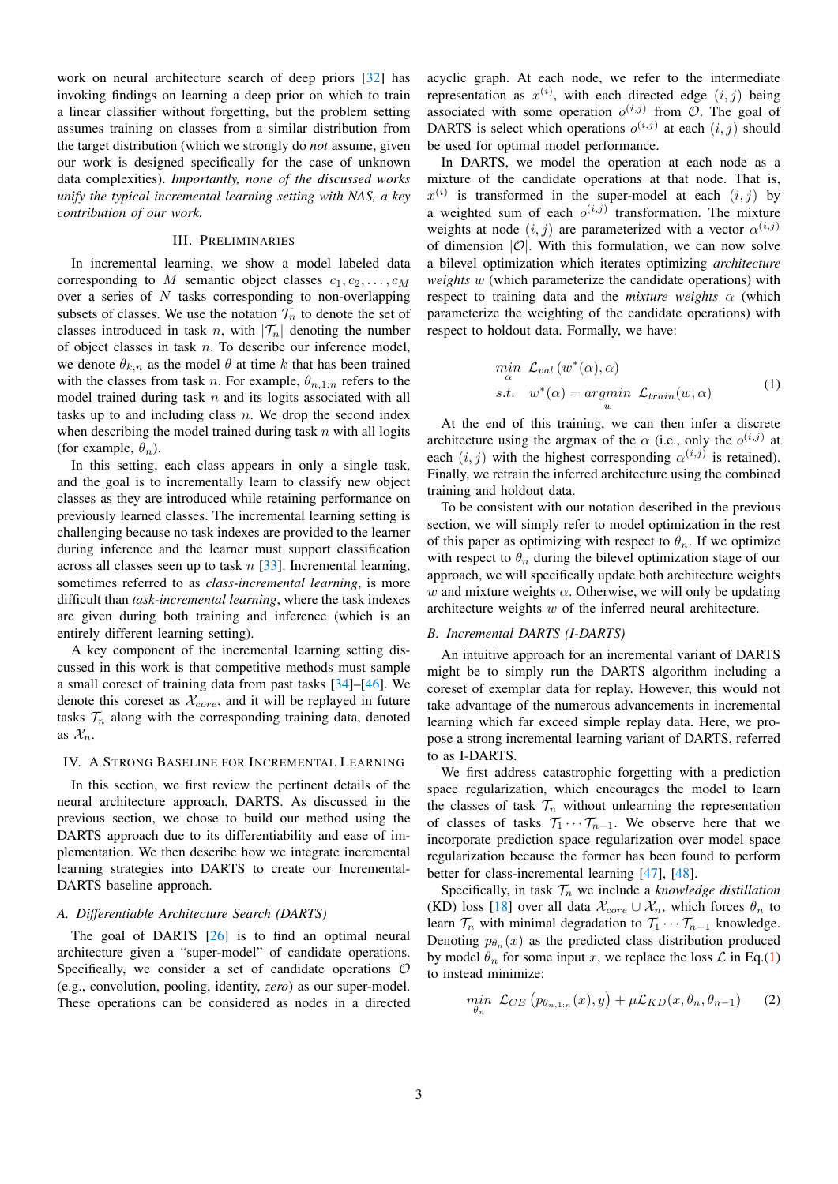work on neural architecture search of deep priors [\[32\]](#page-7-15) has invoking findings on learning a deep prior on which to train a linear classifier without forgetting, but the problem setting assumes training on classes from a similar distribution from the target distribution (which we strongly do *not* assume, given our work is designed specifically for the case of unknown data complexities). *Importantly, none of the discussed works unify the typical incremental learning setting with NAS, a key contribution of our work.*

# III. PRELIMINARIES

In incremental learning, we show a model labeled data corresponding to M semantic object classes  $c_1, c_2, \ldots, c_M$ over a series of  $N$  tasks corresponding to non-overlapping subsets of classes. We use the notation  $\mathcal{T}_n$  to denote the set of classes introduced in task n, with  $|\mathcal{T}_n|$  denoting the number of object classes in task  $n$ . To describe our inference model, we denote  $\theta_{k,n}$  as the model  $\theta$  at time k that has been trained with the classes from task n. For example,  $\theta_{n,1:n}$  refers to the model trained during task  $n$  and its logits associated with all tasks up to and including class  $n$ . We drop the second index when describing the model trained during task  $n$  with all logits (for example,  $\theta_n$ ).

In this setting, each class appears in only a single task, and the goal is to incrementally learn to classify new object classes as they are introduced while retaining performance on previously learned classes. The incremental learning setting is challenging because no task indexes are provided to the learner during inference and the learner must support classification across all classes seen up to task  $n$  [\[33\]](#page-7-16). Incremental learning, sometimes referred to as *class-incremental learning*, is more difficult than *task-incremental learning*, where the task indexes are given during both training and inference (which is an entirely different learning setting).

A key component of the incremental learning setting discussed in this work is that competitive methods must sample a small coreset of training data from past tasks [\[34\]](#page-7-17)–[\[46\]](#page-7-18). We denote this coreset as  $\mathcal{X}_{core}$ , and it will be replayed in future tasks  $\mathcal{T}_n$  along with the corresponding training data, denoted as  $\mathcal{X}_n$ .

## IV. A STRONG BASELINE FOR INCREMENTAL LEARNING

In this section, we first review the pertinent details of the neural architecture approach, DARTS. As discussed in the previous section, we chose to build our method using the DARTS approach due to its differentiability and ease of implementation. We then describe how we integrate incremental learning strategies into DARTS to create our Incremental-DARTS baseline approach.

## *A. Differentiable Architecture Search (DARTS)*

The goal of DARTS [\[26\]](#page-7-9) is to find an optimal neural architecture given a "super-model" of candidate operations. Specifically, we consider a set of candidate operations  $\mathcal O$ (e.g., convolution, pooling, identity, *zero*) as our super-model. These operations can be considered as nodes in a directed acyclic graph. At each node, we refer to the intermediate representation as  $x^{(i)}$ , with each directed edge  $(i, j)$  being associated with some operation  $o^{(i,j)}$  from  $\mathcal{O}$ . The goal of DARTS is select which operations  $o^{(i,j)}$  at each  $(i, j)$  should be used for optimal model performance.

In DARTS, we model the operation at each node as a mixture of the candidate operations at that node. That is,  $x^{(i)}$  is transformed in the super-model at each  $(i, j)$  by a weighted sum of each  $o^{(i,j)}$  transformation. The mixture weights at node  $(i, j)$  are parameterized with a vector  $\alpha^{(i,j)}$ of dimension  $|O|$ . With this formulation, we can now solve a bilevel optimization which iterates optimizing *architecture weights* w (which parameterize the candidate operations) with respect to training data and the *mixture weights* α (which parameterize the weighting of the candidate operations) with respect to holdout data. Formally, we have:

$$
\min_{\alpha} \mathcal{L}_{val}(w^*(\alpha), \alpha)
$$
  
s.t.  $w^*(\alpha) = \underset{w}{\operatorname{argmin}} \mathcal{L}_{\operatorname{train}}(w, \alpha)$  (1)

<span id="page-2-0"></span>At the end of this training, we can then infer a discrete architecture using the argmax of the  $\alpha$  (i.e., only the  $o^{(i,j)}$  at each  $(i, j)$  with the highest corresponding  $\alpha^{(i,j)}$  is retained). Finally, we retrain the inferred architecture using the combined training and holdout data.

To be consistent with our notation described in the previous section, we will simply refer to model optimization in the rest of this paper as optimizing with respect to  $\theta_n$ . If we optimize with respect to  $\theta_n$  during the bilevel optimization stage of our approach, we will specifically update both architecture weights w and mixture weights  $\alpha$ . Otherwise, we will only be updating architecture weights  $w$  of the inferred neural architecture.

#### *B. Incremental DARTS (I-DARTS)*

An intuitive approach for an incremental variant of DARTS might be to simply run the DARTS algorithm including a coreset of exemplar data for replay. However, this would not take advantage of the numerous advancements in incremental learning which far exceed simple replay data. Here, we propose a strong incremental learning variant of DARTS, referred to as I-DARTS.

We first address catastrophic forgetting with a prediction space regularization, which encourages the model to learn the classes of task  $\mathcal{T}_n$  without unlearning the representation of classes of tasks  $\mathcal{T}_1 \cdots \mathcal{T}_{n-1}$ . We observe here that we incorporate prediction space regularization over model space regularization because the former has been found to perform better for class-incremental learning [\[47\]](#page-7-19), [\[48\]](#page-7-20).

Specifically, in task  $\mathcal{T}_n$  we include a *knowledge distillation* (KD) loss [\[18\]](#page-7-4) over all data  $\mathcal{X}_{core} \cup \mathcal{X}_n$ , which forces  $\theta_n$  to learn  $\mathcal{T}_n$  with minimal degradation to  $\mathcal{T}_1 \cdots \mathcal{T}_{n-1}$  knowledge. Denoting  $p_{\theta_n}(x)$  as the predicted class distribution produced by model  $\theta_n$  for some input x, we replace the loss  $\mathcal L$  in Eq.[\(1\)](#page-2-0) to instead minimize:

<span id="page-2-1"></span>
$$
\min_{\theta_n} \mathcal{L}_{CE} \left( p_{\theta_{n,1:n}}(x), y \right) + \mu \mathcal{L}_{KD}(x, \theta_n, \theta_{n-1}) \tag{2}
$$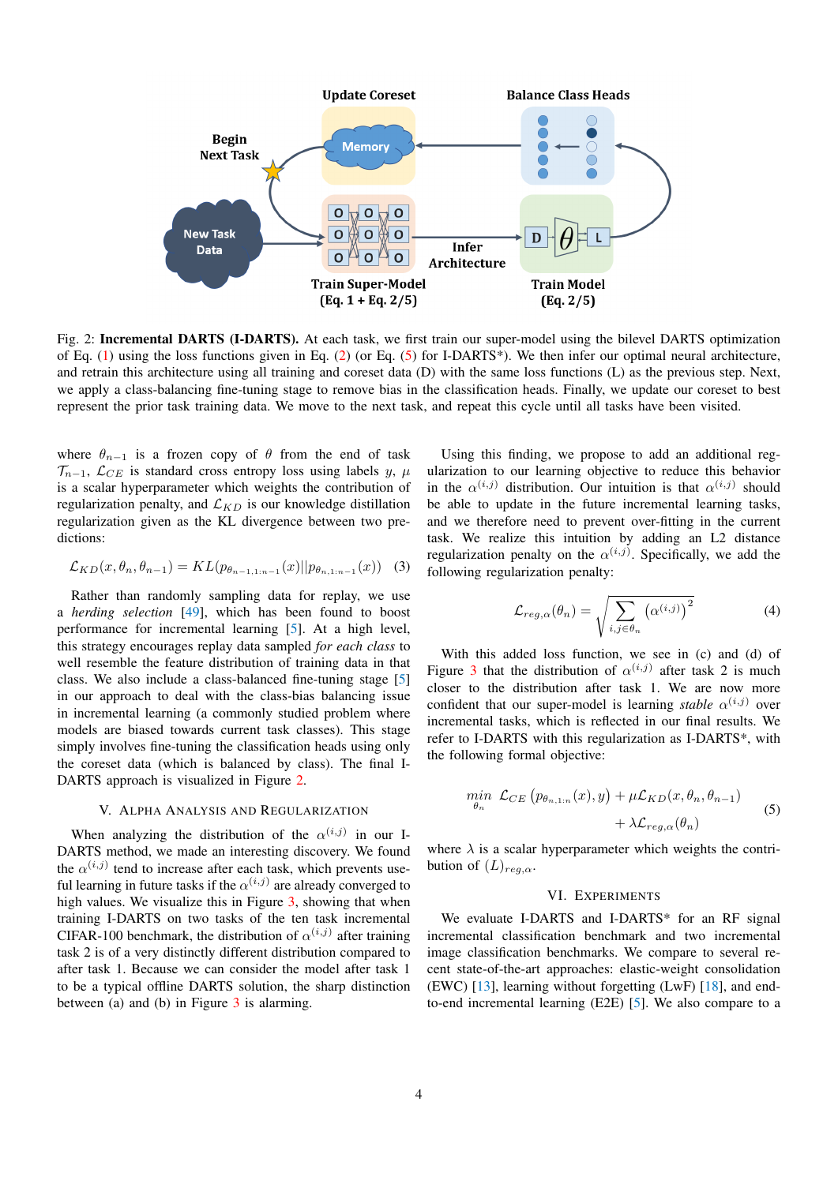<span id="page-3-1"></span>

Fig. 2: Incremental DARTS (I-DARTS). At each task, we first train our super-model using the bilevel DARTS optimization of Eq. [\(1\)](#page-2-0) using the loss functions given in Eq. [\(2\)](#page-2-1) (or Eq. [\(5\)](#page-3-0) for I-DARTS\*). We then infer our optimal neural architecture, and retrain this architecture using all training and coreset data (D) with the same loss functions (L) as the previous step. Next, we apply a class-balancing fine-tuning stage to remove bias in the classification heads. Finally, we update our coreset to best represent the prior task training data. We move to the next task, and repeat this cycle until all tasks have been visited.

where  $\theta_{n-1}$  is a frozen copy of  $\theta$  from the end of task  $\mathcal{T}_{n-1}$ ,  $\mathcal{L}_{CE}$  is standard cross entropy loss using labels y,  $\mu$ is a scalar hyperparameter which weights the contribution of regularization penalty, and  $\mathcal{L}_{KD}$  is our knowledge distillation regularization given as the KL divergence between two predictions:

$$
\mathcal{L}_{KD}(x, \theta_n, \theta_{n-1}) = KL(p_{\theta_{n-1,1:n-1}}(x)||p_{\theta_{n,1:n-1}}(x)) \quad (3)
$$

Rather than randomly sampling data for replay, we use a *herding selection* [\[49\]](#page-7-21), which has been found to boost performance for incremental learning [\[5\]](#page-6-4). At a high level, this strategy encourages replay data sampled *for each class* to well resemble the feature distribution of training data in that class. We also include a class-balanced fine-tuning stage [\[5\]](#page-6-4) in our approach to deal with the class-bias balancing issue in incremental learning (a commonly studied problem where models are biased towards current task classes). This stage simply involves fine-tuning the classification heads using only the coreset data (which is balanced by class). The final I-DARTS approach is visualized in Figure [2.](#page-3-1)

## V. ALPHA ANALYSIS AND REGULARIZATION

When analyzing the distribution of the  $\alpha^{(i,j)}$  in our I-DARTS method, we made an interesting discovery. We found the  $\alpha^{(i,j)}$  tend to increase after each task, which prevents useful learning in future tasks if the  $\alpha^{(i,j)}$  are already converged to high values. We visualize this in Figure [3,](#page-4-0) showing that when training I-DARTS on two tasks of the ten task incremental CIFAR-100 benchmark, the distribution of  $\alpha^{(i,j)}$  after training task 2 is of a very distinctly different distribution compared to after task 1. Because we can consider the model after task 1 to be a typical offline DARTS solution, the sharp distinction between (a) and (b) in Figure [3](#page-4-0) is alarming.

Using this finding, we propose to add an additional regularization to our learning objective to reduce this behavior in the  $\alpha^{(i,j)}$  distribution. Our intuition is that  $\alpha^{(i,j)}$  should be able to update in the future incremental learning tasks, and we therefore need to prevent over-fitting in the current task. We realize this intuition by adding an L2 distance regularization penalty on the  $\alpha^{(i,j)}$ . Specifically, we add the following regularization penalty:

$$
\mathcal{L}_{reg,\alpha}(\theta_n) = \sqrt{\sum_{i,j \in \theta_n} (\alpha^{(i,j)})^2}
$$
 (4)

With this added loss function, we see in (c) and (d) of Figure [3](#page-4-0) that the distribution of  $\alpha^{(i,j)}$  after task 2 is much closer to the distribution after task 1. We are now more confident that our super-model is learning *stable*  $\alpha^{(i,j)}$  over incremental tasks, which is reflected in our final results. We refer to I-DARTS with this regularization as I-DARTS\*, with the following formal objective:

<span id="page-3-0"></span>
$$
\min_{\theta_n} \mathcal{L}_{CE} \left( p_{\theta_{n,1:n}}(x), y \right) + \mu \mathcal{L}_{KD}(x, \theta_n, \theta_{n-1}) + \lambda \mathcal{L}_{reg,\alpha}(\theta_n) \tag{5}
$$

where  $\lambda$  is a scalar hyperparameter which weights the contribution of  $(L)_{reg,\alpha}$ .

#### VI. EXPERIMENTS

We evaluate I-DARTS and I-DARTS\* for an RF signal incremental classification benchmark and two incremental image classification benchmarks. We compare to several recent state-of-the-art approaches: elastic-weight consolidation (EWC) [\[13\]](#page-7-22), learning without forgetting (LwF) [\[18\]](#page-7-4), and endto-end incremental learning (E2E) [\[5\]](#page-6-4). We also compare to a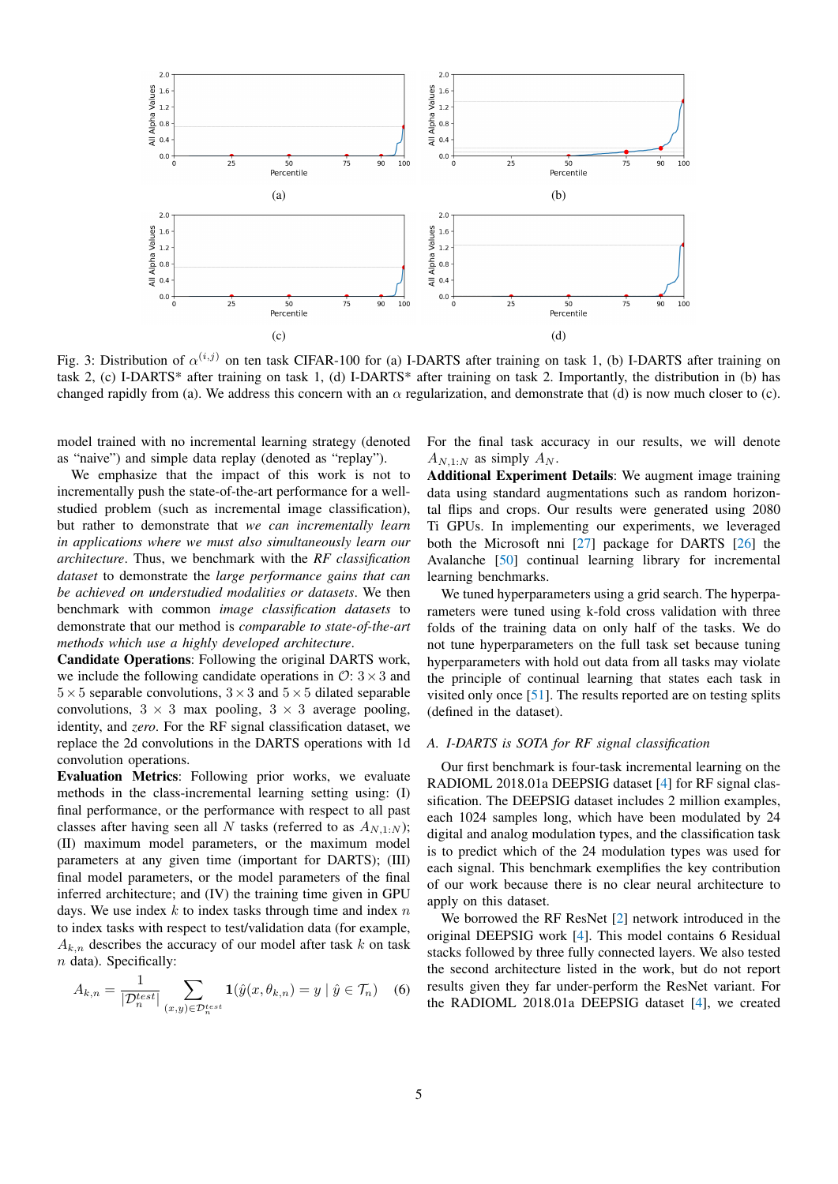<span id="page-4-0"></span>

Fig. 3: Distribution of  $\alpha^{(i,j)}$  on ten task CIFAR-100 for (a) I-DARTS after training on task 1, (b) I-DARTS after training on task 2, (c) I-DARTS\* after training on task 1, (d) I-DARTS\* after training on task 2. Importantly, the distribution in (b) has changed rapidly from (a). We address this concern with an  $\alpha$  regularization, and demonstrate that (d) is now much closer to (c).

model trained with no incremental learning strategy (denoted as "naive") and simple data replay (denoted as "replay").

We emphasize that the impact of this work is not to incrementally push the state-of-the-art performance for a wellstudied problem (such as incremental image classification), but rather to demonstrate that *we can incrementally learn in applications where we must also simultaneously learn our architecture*. Thus, we benchmark with the *RF classification dataset* to demonstrate the *large performance gains that can be achieved on understudied modalities or datasets*. We then benchmark with common *image classification datasets* to demonstrate that our method is *comparable to state-of-the-art methods which use a highly developed architecture*.

Candidate Operations: Following the original DARTS work, we include the following candidate operations in  $\mathcal{O}: 3 \times 3$  and  $5 \times 5$  separable convolutions,  $3 \times 3$  and  $5 \times 5$  dilated separable convolutions,  $3 \times 3$  max pooling,  $3 \times 3$  average pooling, identity, and *zero*. For the RF signal classification dataset, we replace the 2d convolutions in the DARTS operations with 1d convolution operations.

Evaluation Metrics: Following prior works, we evaluate methods in the class-incremental learning setting using: (I) final performance, or the performance with respect to all past classes after having seen all N tasks (referred to as  $A_{N,1:N}$ ); (II) maximum model parameters, or the maximum model parameters at any given time (important for DARTS); (III) final model parameters, or the model parameters of the final inferred architecture; and (IV) the training time given in GPU days. We use index  $k$  to index tasks through time and index  $n$ to index tasks with respect to test/validation data (for example,  $A_{k,n}$  describes the accuracy of our model after task k on task  $n$  data). Specifically:

$$
A_{k,n} = \frac{1}{|\mathcal{D}_n^{test}|} \sum_{(x,y)\in \mathcal{D}_n^{test}} \mathbf{1}(\hat{y}(x,\theta_{k,n}) = y \mid \hat{y} \in \mathcal{T}_n)
$$
 (6)

For the final task accuracy in our results, we will denote  $A_{N,1:N}$  as simply  $A_N$ .

Additional Experiment Details: We augment image training data using standard augmentations such as random horizontal flips and crops. Our results were generated using 2080 Ti GPUs. In implementing our experiments, we leveraged both the Microsoft nni [\[27\]](#page-7-10) package for DARTS [\[26\]](#page-7-9) the Avalanche [\[50\]](#page-7-23) continual learning library for incremental learning benchmarks.

We tuned hyperparameters using a grid search. The hyperparameters were tuned using k-fold cross validation with three folds of the training data on only half of the tasks. We do not tune hyperparameters on the full task set because tuning hyperparameters with hold out data from all tasks may violate the principle of continual learning that states each task in visited only once [\[51\]](#page-7-24). The results reported are on testing splits (defined in the dataset).

## *A. I-DARTS is SOTA for RF signal classification*

Our first benchmark is four-task incremental learning on the RADIOML 2018.01a DEEPSIG dataset [\[4\]](#page-6-3) for RF signal classification. The DEEPSIG dataset includes 2 million examples, each 1024 samples long, which have been modulated by 24 digital and analog modulation types, and the classification task is to predict which of the 24 modulation types was used for each signal. This benchmark exemplifies the key contribution of our work because there is no clear neural architecture to apply on this dataset.

We borrowed the RF ResNet [\[2\]](#page-6-1) network introduced in the original DEEPSIG work [\[4\]](#page-6-3). This model contains 6 Residual stacks followed by three fully connected layers. We also tested the second architecture listed in the work, but do not report results given they far under-perform the ResNet variant. For the RADIOML 2018.01a DEEPSIG dataset [\[4\]](#page-6-3), we created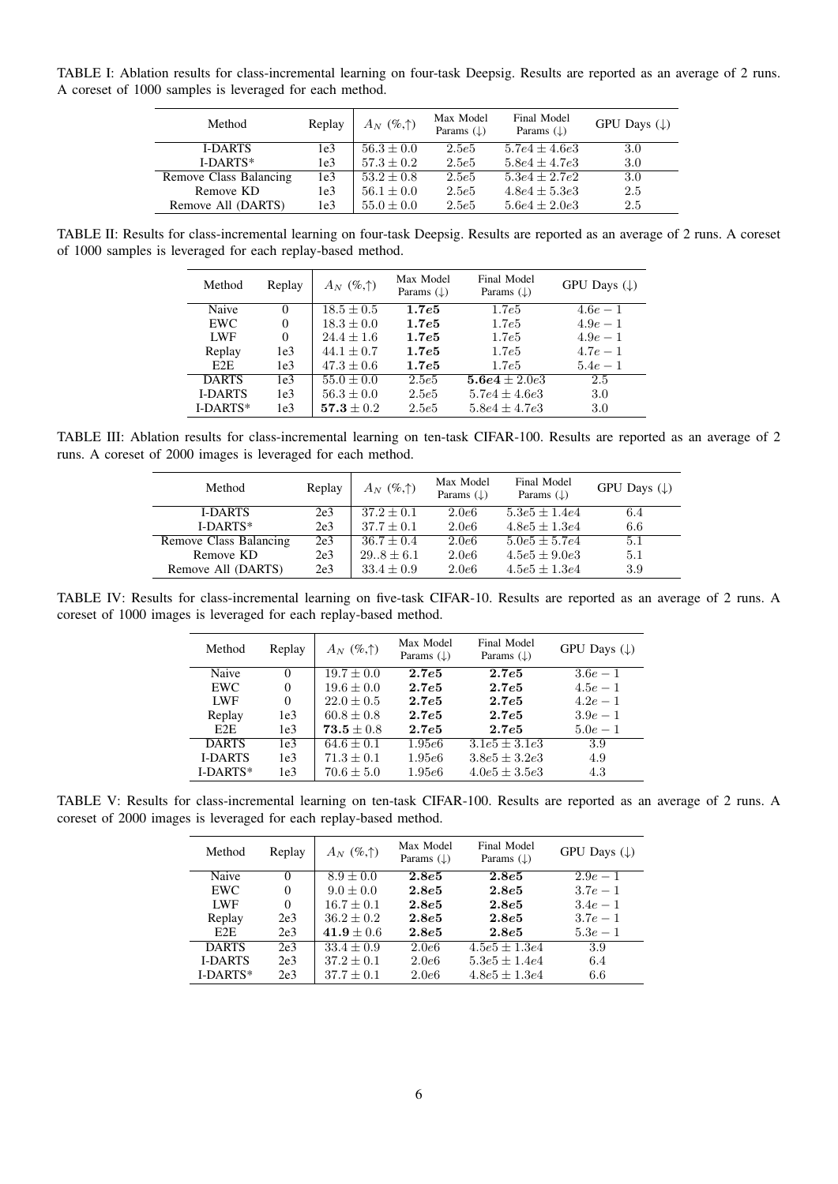| Method                 | Replay          | $A_N$ (%, $\uparrow$ ) | Max Model<br>Params $(\downarrow)$ | Final Model<br>Params $( \downarrow )$ | GPU Days $(\downarrow)$ |
|------------------------|-----------------|------------------------|------------------------------------|----------------------------------------|-------------------------|
| <b>I-DARTS</b>         | 1e <sub>3</sub> | $56.3 \pm 0.0$         | 2.5e5                              | $5.7e4 \pm 4.6e3$                      | 3.0                     |
| I-DARTS*               | 1e <sub>3</sub> | $57.3 \pm 0.2$         | 2.5e5                              | $5.8e4 \pm 4.7e3$                      | 3.0                     |
| Remove Class Balancing | 1e <sub>3</sub> | $53.2 + 0.8$           | 2.5e5                              | $5.3e4 + 2.7e2$                        | 3.0                     |
| Remove KD              | 1e <sub>3</sub> | $56.1 \pm 0.0$         | 2.5e5                              | $4.8e4 \pm 5.3e3$                      | 2.5                     |
| Remove All (DARTS)     | 1e <sub>3</sub> | $55.0 \pm 0.0$         | 2.5e5                              | $5.6e4 \pm 2.0e3$                      | 2.5                     |

<span id="page-5-0"></span>TABLE I: Ablation results for class-incremental learning on four-task Deepsig. Results are reported as an average of 2 runs. A coreset of 1000 samples is leveraged for each method.

<span id="page-5-1"></span>TABLE II: Results for class-incremental learning on four-task Deepsig. Results are reported as an average of 2 runs. A coreset of 1000 samples is leveraged for each replay-based method.

| Method           | Replay          | $A_N(\%,\uparrow)$ | Max Model<br>Params $(\downarrow)$ | Final Model<br>Params $(\downarrow)$ | GPU Days $(\downarrow)$ |
|------------------|-----------------|--------------------|------------------------------------|--------------------------------------|-------------------------|
| Naive            | $\Omega$        | $18.5 + 0.5$       | 1.7e5                              | 1.7e5                                | $4.6e-1$                |
| EWC              | 0               | $18.3 \pm 0.0$     | 1.7e5                              | 1.7e5                                | $4.9e-1$                |
| LWF              | 0               | $24.4 + 1.6$       | 1.7e5                              | 1.7e5                                | $4.9e - 1$              |
| Replay           | 1e3             | $44.1 + 0.7$       | 1.7e5                              | 1.7e5                                | $4.7e - 1$              |
| E <sub>2</sub> E | 1e <sub>3</sub> | $47.3 \pm 0.6$     | 1.7e5                              | 1.7e5                                | $5.4e - 1$              |
| <b>DARTS</b>     | 1e <sub>3</sub> | $55.0 \pm 0.0$     | 2.5e5                              | $5.6e4 \pm 2.0e3$                    | 2.5                     |
| <b>I-DARTS</b>   | 1e <sub>3</sub> | $56.3 \pm 0.0$     | 2.5e5                              | $5.7e4 \pm 4.6e3$                    | 3.0                     |
| I-DARTS*         | 1e3             | $57.3 + 0.2$       | 2.5e5                              | $5.8e4 \pm 4.7e3$                    | 3.0                     |

<span id="page-5-2"></span>TABLE III: Ablation results for class-incremental learning on ten-task CIFAR-100. Results are reported as an average of 2 runs. A coreset of 2000 images is leveraged for each method.

| Method                 | Replay          | $A_N$ (%, $\uparrow$ ) | Max Model<br>Params $( \downarrow )$ | Final Model<br>Params $(\downarrow)$ | GPU Days $(\downarrow)$ |
|------------------------|-----------------|------------------------|--------------------------------------|--------------------------------------|-------------------------|
| <b>I-DARTS</b>         | 2e <sub>3</sub> | $37.2 + 0.1$           | 2.0e6                                | $5.3e5 + 1.4e4$                      | 6.4                     |
| I-DARTS*               | 2e <sub>3</sub> | $37.7 \pm 0.1$         | 2.0e6                                | $4.8e5 \pm 1.3e4$                    | 6.6                     |
| Remove Class Balancing | 2e <sub>3</sub> | $36.7 + 0.4$           | 2.0e6                                | $5.0e5 + 5.7e4$                      | 5.1                     |
| Remove KD              | 2e <sub>3</sub> | $29.8 + 6.1$           | 2.0e6                                | $4.5e5 \pm 9.0e3$                    | 5.1                     |
| Remove All (DARTS)     | 2e <sub>3</sub> | $33.4 \pm 0.9$         | 2.0e6                                | $4.5e5 \pm 1.3e4$                    | 3.9                     |

<span id="page-5-3"></span>TABLE IV: Results for class-incremental learning on five-task CIFAR-10. Results are reported as an average of 2 runs. A coreset of 1000 images is leveraged for each replay-based method.

| Method           | Replay          | $A_N$ (%, $\uparrow$ ) | Max Model<br>Params $( \downarrow )$ | Final Model<br>Params $(\downarrow)$ | GPU Days $(\downarrow)$ |
|------------------|-----------------|------------------------|--------------------------------------|--------------------------------------|-------------------------|
| Naive            | 0               | $19.7 \pm 0.0$         | 2.7e5                                | 2.7e5                                | $3.6e - 1$              |
| EWC              | $\Omega$        | $19.6 + 0.0$           | 2.7e5                                | 2.7e5                                | $4.5e - 1$              |
| LWF              | $\Omega$        | $22.0 + 0.5$           | 2.7e5                                | 2.7e5                                | $4.2e-1$                |
| Replay           | 1e <sub>3</sub> | $60.8 \pm 0.8$         | 2.7e5                                | 2.7e5                                | $3.9e - 1$              |
| E <sub>2</sub> E | 1e <sub>3</sub> | $73.5 + 0.8$           | 2.7e5                                | 2.7e5                                | $5.0e-1$                |
| <b>DARTS</b>     | 1e <sub>3</sub> | $64.6 + 0.1$           | 1.95e6                               | $3.1e5 \pm 3.1e3$                    | 3.9                     |
| <b>I-DARTS</b>   | 1e <sub>3</sub> | $71.3 + 0.1$           | 1.95e6                               | $3.8e5 \pm 3.2e3$                    | 4.9                     |
| I-DARTS*         | 1e <sub>3</sub> | $70.6 \pm 5.0$         | 1.95e6                               | $4.0e5 \pm 3.5e3$                    | 4.3                     |
|                  |                 |                        |                                      |                                      |                         |

<span id="page-5-4"></span>TABLE V: Results for class-incremental learning on ten-task CIFAR-100. Results are reported as an average of 2 runs. A coreset of 2000 images is leveraged for each replay-based method.

| Method           | Replay          | $A_N$ (%, $\uparrow$ ) | Max Model<br>Params $(\downarrow)$ | Final Model<br>Params $(\downarrow)$ | GPU Days $(\downarrow)$ |
|------------------|-----------------|------------------------|------------------------------------|--------------------------------------|-------------------------|
| Naive            | $\Omega$        | $8.9 + 0.0$            | 2.8e5                              | 2.8e5                                | $2.9e-1$                |
| <b>EWC</b>       | $\Omega$        | $9.0 \pm 0.0$          | 2.8e5                              | 2.8e5                                | $3.7e - 1$              |
| LWF              | $\Omega$        | $16.7 + 0.1$           | 2.8e5                              | 2.8e5                                | $3.4e - 1$              |
| Replay           | 2e <sub>3</sub> | $36.2 \pm 0.2$         | 2.8e5                              | 2.8e5                                | $3.7e - 1$              |
| E <sub>2</sub> E | 2e <sub>3</sub> | $41.9 + 0.6$           | 2.8e5                              | 2.8e5                                | $5.3e - 1$              |
| <b>DARTS</b>     | 2e <sub>3</sub> | $33.4 + 0.9$           | 2.0e6                              | $4.5e5 \pm 1.3e4$                    | 3.9                     |
| <b>I-DARTS</b>   | 2e <sub>3</sub> | $37.2 + 0.1$           | 2.0e6                              | $5.3e5 + 1.4e4$                      | 6.4                     |
| I-DARTS*         | 2e <sub>3</sub> | $37.7 \pm 0.1$         | 2.0e6                              | $4.8e5 \pm 1.3e4$                    | 6.6                     |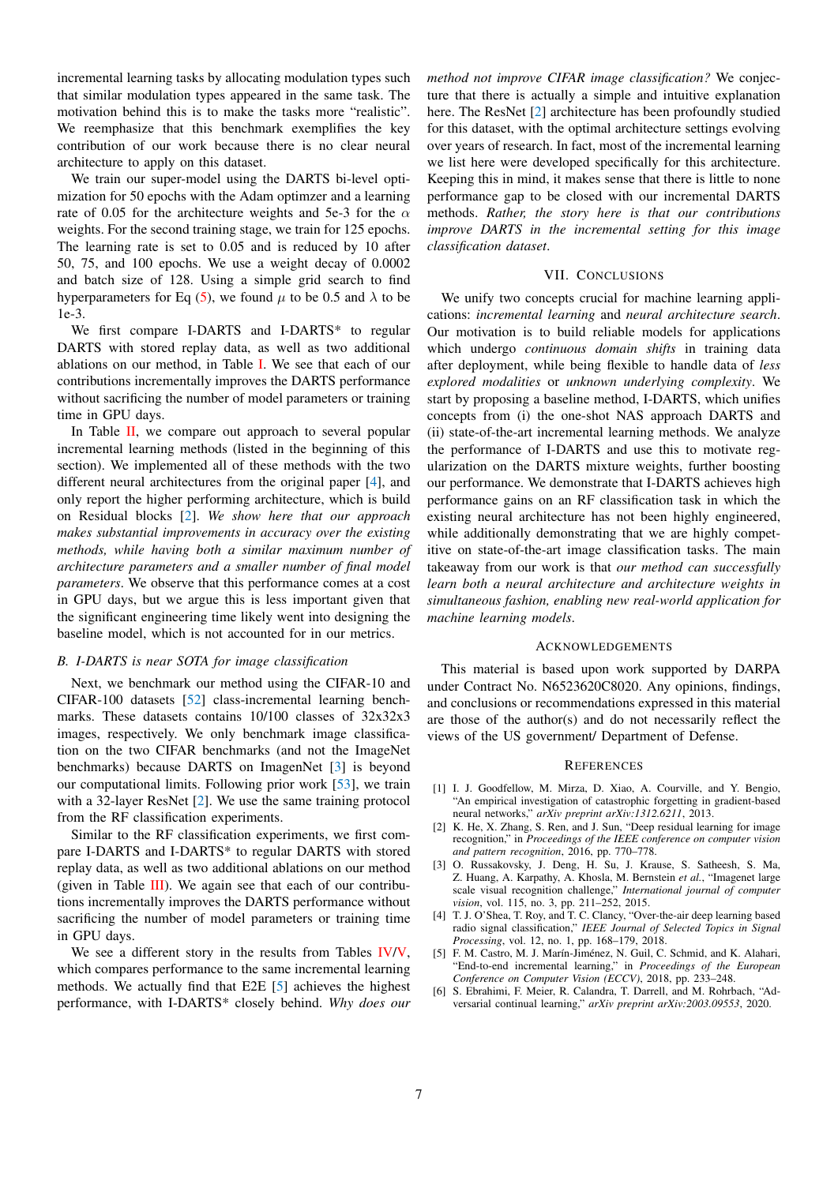incremental learning tasks by allocating modulation types such that similar modulation types appeared in the same task. The motivation behind this is to make the tasks more "realistic". We reemphasize that this benchmark exemplifies the key contribution of our work because there is no clear neural architecture to apply on this dataset.

We train our super-model using the DARTS bi-level optimization for 50 epochs with the Adam optimzer and a learning rate of 0.05 for the architecture weights and 5e-3 for the  $\alpha$ weights. For the second training stage, we train for 125 epochs. The learning rate is set to 0.05 and is reduced by 10 after 50, 75, and 100 epochs. We use a weight decay of 0.0002 and batch size of 128. Using a simple grid search to find hyperparameters for Eq [\(5\)](#page-3-0), we found  $\mu$  to be 0.5 and  $\lambda$  to be 1e-3.

We first compare I-DARTS and I-DARTS\* to regular DARTS with stored replay data, as well as two additional ablations on our method, in Table [I.](#page-5-0) We see that each of our contributions incrementally improves the DARTS performance without sacrificing the number of model parameters or training time in GPU days.

In Table  $II$ , we compare out approach to several popular incremental learning methods (listed in the beginning of this section). We implemented all of these methods with the two different neural architectures from the original paper [\[4\]](#page-6-3), and only report the higher performing architecture, which is build on Residual blocks [\[2\]](#page-6-1). *We show here that our approach makes substantial improvements in accuracy over the existing methods, while having both a similar maximum number of architecture parameters and a smaller number of final model parameters*. We observe that this performance comes at a cost in GPU days, but we argue this is less important given that the significant engineering time likely went into designing the baseline model, which is not accounted for in our metrics.

#### *B. I-DARTS is near SOTA for image classification*

Next, we benchmark our method using the CIFAR-10 and CIFAR-100 datasets [\[52\]](#page-7-25) class-incremental learning benchmarks. These datasets contains 10/100 classes of 32x32x3 images, respectively. We only benchmark image classification on the two CIFAR benchmarks (and not the ImageNet benchmarks) because DARTS on ImagenNet [\[3\]](#page-6-2) is beyond our computational limits. Following prior work [\[53\]](#page-7-26), we train with a 32-layer ResNet [\[2\]](#page-6-1). We use the same training protocol from the RF classification experiments.

Similar to the RF classification experiments, we first compare I-DARTS and I-DARTS\* to regular DARTS with stored replay data, as well as two additional ablations on our method (given in Table  $III$ ). We again see that each of our contributions incrementally improves the DARTS performance without sacrificing the number of model parameters or training time in GPU days.

We see a different story in the results from Tables [IV](#page-5-3)[/V,](#page-5-4) which compares performance to the same incremental learning methods. We actually find that E2E [\[5\]](#page-6-4) achieves the highest performance, with I-DARTS\* closely behind. *Why does our* *method not improve CIFAR image classification?* We conjecture that there is actually a simple and intuitive explanation here. The ResNet [\[2\]](#page-6-1) architecture has been profoundly studied for this dataset, with the optimal architecture settings evolving over years of research. In fact, most of the incremental learning we list here were developed specifically for this architecture. Keeping this in mind, it makes sense that there is little to none performance gap to be closed with our incremental DARTS methods. *Rather, the story here is that our contributions improve DARTS in the incremental setting for this image classification dataset*.

### VII. CONCLUSIONS

We unify two concepts crucial for machine learning applications: *incremental learning* and *neural architecture search*. Our motivation is to build reliable models for applications which undergo *continuous domain shifts* in training data after deployment, while being flexible to handle data of *less explored modalities* or *unknown underlying complexity*. We start by proposing a baseline method, I-DARTS, which unifies concepts from (i) the one-shot NAS approach DARTS and (ii) state-of-the-art incremental learning methods. We analyze the performance of I-DARTS and use this to motivate regularization on the DARTS mixture weights, further boosting our performance. We demonstrate that I-DARTS achieves high performance gains on an RF classification task in which the existing neural architecture has not been highly engineered, while additionally demonstrating that we are highly competitive on state-of-the-art image classification tasks. The main takeaway from our work is that *our method can successfully learn both a neural architecture and architecture weights in simultaneous fashion, enabling new real-world application for machine learning models*.

#### ACKNOWLEDGEMENTS

This material is based upon work supported by DARPA under Contract No. N6523620C8020. Any opinions, findings, and conclusions or recommendations expressed in this material are those of the author(s) and do not necessarily reflect the views of the US government/ Department of Defense.

#### **REFERENCES**

- <span id="page-6-0"></span>[1] I. J. Goodfellow, M. Mirza, D. Xiao, A. Courville, and Y. Bengio, "An empirical investigation of catastrophic forgetting in gradient-based neural networks," *arXiv preprint arXiv:1312.6211*, 2013.
- <span id="page-6-1"></span>[2] K. He, X. Zhang, S. Ren, and J. Sun, "Deep residual learning for image recognition," in *Proceedings of the IEEE conference on computer vision and pattern recognition*, 2016, pp. 770–778.
- <span id="page-6-2"></span>[3] O. Russakovsky, J. Deng, H. Su, J. Krause, S. Satheesh, S. Ma, Z. Huang, A. Karpathy, A. Khosla, M. Bernstein *et al.*, "Imagenet large scale visual recognition challenge," *International journal of computer vision*, vol. 115, no. 3, pp. 211–252, 2015.
- <span id="page-6-3"></span>[4] T. J. O'Shea, T. Roy, and T. C. Clancy, "Over-the-air deep learning based radio signal classification," *IEEE Journal of Selected Topics in Signal Processing*, vol. 12, no. 1, pp. 168–179, 2018.
- <span id="page-6-4"></span>[5] F. M. Castro, M. J. Marín-Jiménez, N. Guil, C. Schmid, and K. Alahari, "End-to-end incremental learning," in *Proceedings of the European Conference on Computer Vision (ECCV)*, 2018, pp. 233–248.
- <span id="page-6-5"></span>[6] S. Ebrahimi, F. Meier, R. Calandra, T. Darrell, and M. Rohrbach, "Adversarial continual learning," *arXiv preprint arXiv:2003.09553*, 2020.